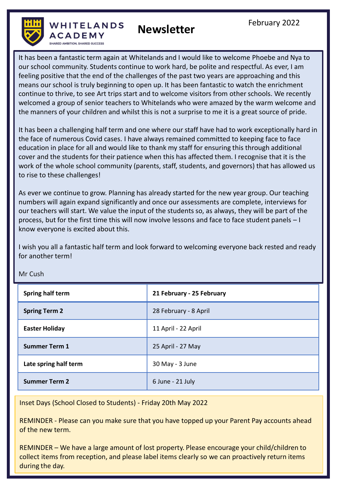

**Newsletter**

It has been a fantastic term again at Whitelands and I would like to welcome Phoebe and Nya to our school community. Students continue to work hard, be polite and respectful. As ever, I am feeling positive that the end of the challenges of the past two years are approaching and this means our school is truly beginning to open up. It has been fantastic to watch the enrichment continue to thrive, to see Art trips start and to welcome visitors from other schools. We recently welcomed a group of senior teachers to Whitelands who were amazed by the warm welcome and the manners of your children and whilst this is not a surprise to me it is a great source of pride.

It has been a challenging half term and one where our staff have had to work exceptionally hard in the face of numerous Covid cases. I have always remained committed to keeping face to face education in place for all and would like to thank my staff for ensuring this through additional cover and the students for their patience when this has affected them. I recognise that it is the work of the whole school community (parents, staff, students, and governors) that has allowed us to rise to these challenges!

As ever we continue to grow. Planning has already started for the new year group. Our teaching numbers will again expand significantly and once our assessments are complete, interviews for our teachers will start. We value the input of the students so, as always, they will be part of the process, but for the first time this will now involve lessons and face to face student panels – I know everyone is excited about this.

I wish you all a fantastic half term and look forward to welcoming everyone back rested and ready for another term!

| Spring half term      | 21 February - 25 February |
|-----------------------|---------------------------|
| <b>Spring Term 2</b>  | 28 February - 8 April     |
| <b>Easter Holiday</b> | 11 April - 22 April       |
| <b>Summer Term 1</b>  | 25 April - 27 May         |
| Late spring half term | 30 May - 3 June           |
| <b>Summer Term 2</b>  | 6 June - 21 July          |

Mr Cush

Inset Days (School Closed to Students) - Friday 20th May 2022

REMINDER - Please can you make sure that you have topped up your Parent Pay accounts ahead of the new term.

REMINDER – We have a large amount of lost property. Please encourage your child/children to collect items from reception, and please label items clearly so we can proactively return items during the day.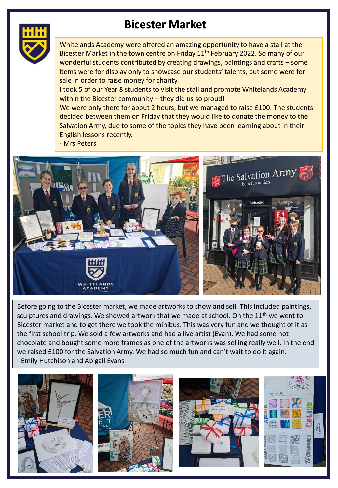## **Bicester Market**



Whitelands Academy were offered an amazing opportunity to have a stall at the Bicester Market in the town centre on Friday 11<sup>th</sup> February 2022. So many of our wonderful students contributed by creating drawings, paintings and crafts – some items were for display only to showcase our students' talents, but some were for sale in order to raise money for charity.

I took 5 of our Year 8 students to visit the stall and promote Whitelands Academy within the Bicester community – they did us so proud!

We were only there for about 2 hours, but we managed to raise £100. The students decided between them on Friday that they would like to donate the money to the Salvation Army, due to some of the topics they have been learning about in their English lessons recently.

- Mrs Peters



Before going to the Bicester market, we made artworks to show and sell. This included paintings, sculptures and drawings. We showed artwork that we made at school. On the  $11<sup>th</sup>$  we went to Bicester market and to get there we took the minibus. This was very fun and we thought of it as the first school trip. We sold a few artworks and had a live artist (Evan). We had some hot chocolate and bought some more frames as one of the artworks was selling really well. In the end we raised £100 for the Salvation Army. We had so much fun and can't wait to do it again. - Emily Hutchison and Abigail Evans

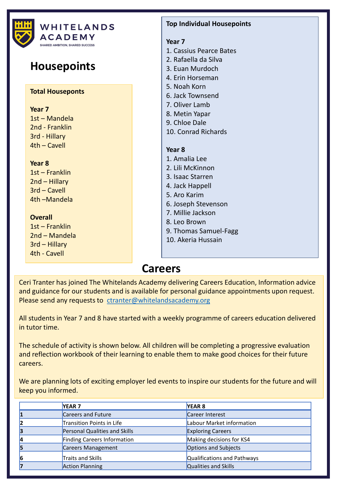

#### **Careers**

Ceri Tranter has joined The Whitelands Academy delivering Careers Education, Information advice and guidance for our students and is available for personal guidance appointments upon request. Please send any requests to [ctranter@whitelandsacademy.org](mailto:ctranter@whitelandsacademy.org)

All students in Year 7 and 8 have started with a weekly programme of careers education delivered in tutor time.

The schedule of activity is shown below. All children will be completing a progressive evaluation and reflection workbook of their learning to enable them to make good choices for their future careers.

We are planning lots of exciting employer led events to inspire our students for the future and will keep you informed.

|    | <b>YEAR 7</b>                 | YEAR <sub>8</sub>           |
|----|-------------------------------|-----------------------------|
| 1  | Careers and Future            | Career Interest             |
| 12 | Transition Points in Life     | Labour Market information   |
| 3  | Personal Qualities and Skills | <b>Exploring Careers</b>    |
| 14 | Finding Careers Information   | Making decisions for KS4    |
| 5  | Careers Management            | Options and Subjects        |
| 6  | Traits and Skills             | Qualifications and Pathways |
| 7  | <b>Action Planning</b>        | Qualities and Skills        |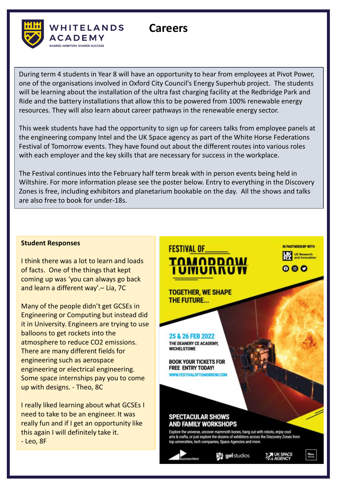

During term 4 students in Year 8 will have an opportunity to hear from employees at Pivot Power, one of the organisations involved in Oxford City Council's Energy Superhub project. The students will be learning about the installation of the ultra fast charging facility at the Redbridge Park and Ride and the battery installations that allow this to be powered from 100% renewable energy resources. They will also learn about career pathways in the renewable energy sector.

**Careers**

This week students have had the opportunity to sign up for careers talks from employee panels at the engineering company Intel and the UK Space agency as part of the White Horse Federations Festival of Tomorrow events. They have found out about the different routes into various roles with each employer and the key skills that are necessary for success in the workplace.

The Festival continues into the February half term break with in person events being held in Wiltshire. For more information please see the poster below. Entry to everything in the Discovery Zones is free, including exhibitors and planetarium bookable on the day. All the shows and talks are also free to book for under-18s.

#### **Student Responses**

I think there was a lot to learn and loads of facts. One of the things that kept coming up was 'you can always go back and learn a different way'.– Lia, 7C

Many of the people didn't get GCSEs in Engineering or Computing but instead did it in University. Engineers are trying to use balloons to get rockets into the atmosphere to reduce CO2 emissions. There are many different fields for engineering such as aerospace engineering or electrical engineering. Some space internships pay you to come up with designs. - Theo, 8C

I really liked learning about what GCSEs I need to take to be an engineer. It was really fun and if I get an opportunity like this again I will definitely take it. - Leo, 8F

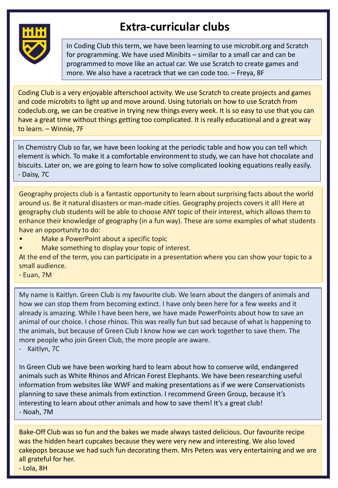

## **Extra-curricular clubs**

In Coding Club this term, we have been learning to use microbit.org and Scratch for programming. We have used Minibits – similar to a small car and can be programmed to move like an actual car. We use Scratch to create games and more. We also have a racetrack that we can code too. – Freya, 8F

Coding Club is a very enjoyable afterschool activity. We use Scratch to create projects and games and code microbits to light up and move around. Using tutorials on how to use Scratch from codeclub.org, we can be creative in trying new things every week. It is so easy to use that you can have a great time without things getting too complicated. It is really educational and a great way to learn. – Winnie, 7F

In Chemistry Club so far, we have been looking at the periodic table and how you can tell which element is which. To make it a comfortable environment to study, we can have hot chocolate and biscuits. Later on, we are going to learn how to solve complicated looking equations really easily. - Daisy, 7C

Geography projects club is a fantastic opportunity to learn about surprising facts about the world around us. Be it natural disasters or man-made cities. Geography projects covers it all! Here at geography club students will be able to choose ANY topic of their interest, which allows them to enhance their knowledge of geography (in a fun way). These are some examples of what students have an opportunity to do:

- Make a PowerPoint about a specific topic
- Make something to display your topic of interest.

At the end of the term, you can participate in a presentation where you can show your topic to a small audience.

- Euan, 7M

My name is Kaitlyn. Green Club is my favourite club. We learn about the dangers of animals and how we can stop them from becoming extinct. I have only been here for a few weeks and it already is amazing. While I have been here, we have made PowerPoints about how to save an animal of our choice. I chose rhinos. This was really fun but sad because of what is happening to the animals, but because of Green Club I know how we can work together to save them. The more people who join Green Club, the more people are aware.

- Kaitlyn, 7C

In Green Club we have been working hard to learn about how to conserve wild, endangered animals such as White Rhinos and African Forest Elephants. We have been researching useful information from websites like WWF and making presentations as if we were Conservationists planning to save these animals from extinction. I recommend Green Group, because it's interesting to learn about other animals and how to save them! It's a great club! - Noah, 7M

Bake-Off Club was so fun and the bakes we made always tasted delicious. Our favourite recipe was the hidden heart cupcakes because they were very new and interesting. We also loved cakepops because we had such fun decorating them. Mrs Peters was very entertaining and we are all grateful for her.

- Lola, 8H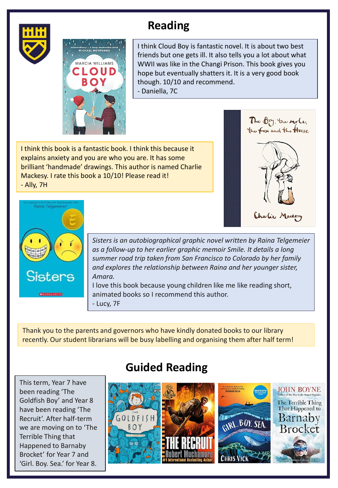



## **Reading**

I think Cloud Boy is fantastic novel. It is about two best friends but one gets ill. It also tells you a lot about what WWII was like in the Changi Prison. This book gives you hope but eventually shatters it. It is a very good book though. 10/10 and recommend. - Daniella, 7C

I think this book is a fantastic book. I think this because it explains anxiety and you are who you are. It has some brilliant 'handmade' drawings. This author is named Charlie Mackesy. I rate this book a 10/10! Please read it! - Ally, 7H



Charlie Mackery



*Sisters is an autobiographical graphic novel written by Raina Telgemeier as a follow-up to her earlier graphic memoir Smile. It details a long summer road trip taken from San Francisco to Colorado by her family and explores the relationship between Raina and her younger sister, Amara.*

I love this book because young children like me like reading short, animated books so I recommend this author. - Lucy, 7F

Thank you to the parents and governors who have kindly donated books to our library recently. Our student librarians will be busy labelling and organising them after half term!

This term, Year 7 have been reading 'The Goldfish Boy' and Year 8 have been reading 'The Recruit'. After half-term we are moving on to 'The Terrible Thing that Happened to Barnaby Brocket' for Year 7 and 'Girl. Boy. Sea.' for Year 8.

## **Guided Reading**